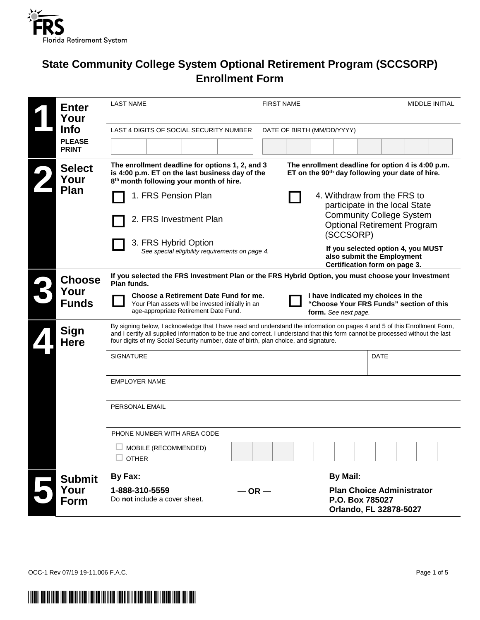

# **State Community College System Optional Retirement Program (SCCSORP) Enrollment Form**

| <b>Enter</b>                 | <b>LAST NAME</b>                                                                                                                                                                                                                                                                                                                                     | <b>FIRST NAME</b> |                                                                                                                  |             | <b>MIDDLE INITIAL</b> |
|------------------------------|------------------------------------------------------------------------------------------------------------------------------------------------------------------------------------------------------------------------------------------------------------------------------------------------------------------------------------------------------|-------------------|------------------------------------------------------------------------------------------------------------------|-------------|-----------------------|
| Your                         |                                                                                                                                                                                                                                                                                                                                                      |                   |                                                                                                                  |             |                       |
| <b>Info</b><br><b>PLEASE</b> | LAST 4 DIGITS OF SOCIAL SECURITY NUMBER                                                                                                                                                                                                                                                                                                              |                   | DATE OF BIRTH (MM/DD/YYYY)                                                                                       |             |                       |
| <b>PRINT</b>                 |                                                                                                                                                                                                                                                                                                                                                      |                   |                                                                                                                  |             |                       |
| <b>Select</b><br>Your        | The enrollment deadline for options 1, 2, and 3<br>is 4:00 p.m. ET on the last business day of the<br>8 <sup>th</sup> month following your month of hire.                                                                                                                                                                                            |                   | The enrollment deadline for option 4 is 4:00 p.m.<br>ET on the 90 <sup>th</sup> day following your date of hire. |             |                       |
| Plan                         | 1. FRS Pension Plan                                                                                                                                                                                                                                                                                                                                  |                   | 4. Withdraw from the FRS to<br>participate in the local State                                                    |             |                       |
|                              | 2. FRS Investment Plan                                                                                                                                                                                                                                                                                                                               |                   | <b>Community College System</b><br><b>Optional Retirement Program</b><br>(SCCSORP)                               |             |                       |
|                              | 3. FRS Hybrid Option<br>See special eligibility requirements on page 4.                                                                                                                                                                                                                                                                              |                   | If you selected option 4, you MUST<br>also submit the Employment<br>Certification form on page 3.                |             |                       |
| <b>Choose</b>                | If you selected the FRS Investment Plan or the FRS Hybrid Option, you must choose your Investment<br>Plan funds.                                                                                                                                                                                                                                     |                   |                                                                                                                  |             |                       |
| Your<br><b>Funds</b>         | Choose a Retirement Date Fund for me.<br>Your Plan assets will be invested initially in an<br>age-appropriate Retirement Date Fund.                                                                                                                                                                                                                  |                   | I have indicated my choices in the<br>"Choose Your FRS Funds" section of this<br>form. See next page.            |             |                       |
| Sign<br><b>Here</b>          | By signing below, I acknowledge that I have read and understand the information on pages 4 and 5 of this Enrollment Form,<br>and I certify all supplied information to be true and correct. I understand that this form cannot be processed without the last<br>four digits of my Social Security number, date of birth, plan choice, and signature. |                   |                                                                                                                  |             |                       |
|                              | <b>SIGNATURE</b>                                                                                                                                                                                                                                                                                                                                     |                   |                                                                                                                  | <b>DATE</b> |                       |
|                              | <b>EMPLOYER NAME</b>                                                                                                                                                                                                                                                                                                                                 |                   |                                                                                                                  |             |                       |
|                              | <b>PERSONAL EMAIL</b>                                                                                                                                                                                                                                                                                                                                |                   |                                                                                                                  |             |                       |
|                              | PHONE NUMBER WITH AREA CODE                                                                                                                                                                                                                                                                                                                          |                   |                                                                                                                  |             |                       |
|                              | MOBILE (RECOMMENDED)<br><b>OTHER</b>                                                                                                                                                                                                                                                                                                                 |                   |                                                                                                                  |             |                       |
| <b>Submit</b>                | By Fax:                                                                                                                                                                                                                                                                                                                                              |                   | <b>By Mail:</b>                                                                                                  |             |                       |
| Your<br>Form                 | 1-888-310-5559<br>Do not include a cover sheet.                                                                                                                                                                                                                                                                                                      | $-$ OR $-$        | <b>Plan Choice Administrator</b><br>P.O. Box 785027<br>Orlando, FL 32878-5027                                    |             |                       |

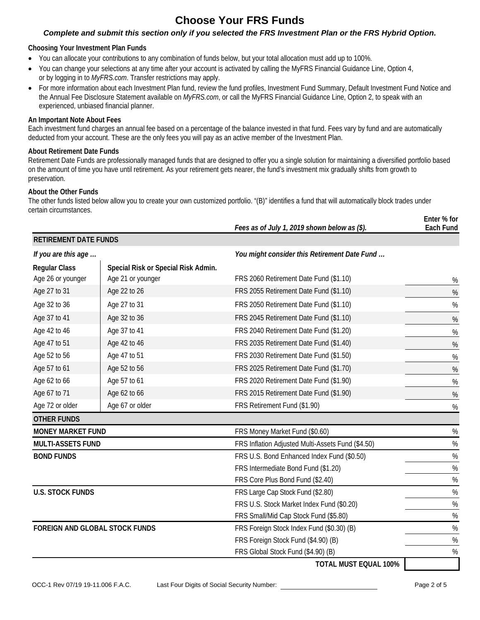## **Choose Your FRS Funds**

#### *Complete and submit this section only if you selected the FRS Investment Plan or the FRS Hybrid Option.*

#### **Choosing Your Investment Plan Funds**

- You can allocate your contributions to any combination of funds below, but your total allocation must add up to 100%.
- You can change your selections at any time after your account is activated by calling the MyFRS Financial Guidance Line, Option 4, or by logging in to *[MyFRS.com](http://myfrs.com/)*. Transfer restrictions may apply.
- For more information about each Investment Plan fund, review the fund profiles, Investment Fund Summary, Default Investment Fund Notice and the Annual Fee Disclosure Statement available on *MyFRS.com*, or call the MyFRS Financial Guidance Line, Option 2, to speak with an experienced, unbiased financial planner.

#### **An Important Note About Fees**

Each investment fund charges an annual fee based on a percentage of the balance invested in that fund. Fees vary by fund and are automatically deducted from your account. These are the only fees you will pay as an active member of the Investment Plan.

#### **About Retirement Date Funds**

Retirement Date Funds are professionally managed funds that are designed to offer you a single solution for maintaining a diversified portfolio based on the amount of time you have until retirement. As your retirement gets nearer, the fund's investment mix gradually shifts from growth to preservation.

#### **About the Other Funds**

The other funds listed below allow you to create your own customized portfolio. "(B)" identifies a fund that will automatically block trades under certain circumstances. **Enter % for**

|                                |                                     | Fees as of July 1, 2019 shown below as (\$).      | וטו א וטווב<br>Each Fund |
|--------------------------------|-------------------------------------|---------------------------------------------------|--------------------------|
| <b>RETIREMENT DATE FUNDS</b>   |                                     |                                                   |                          |
| If you are this age            |                                     | You might consider this Retirement Date Fund      |                          |
| <b>Regular Class</b>           | Special Risk or Special Risk Admin. |                                                   |                          |
| Age 26 or younger              | Age 21 or younger                   | FRS 2060 Retirement Date Fund (\$1.10)            | %                        |
| Age 27 to 31                   | Age 22 to 26                        | FRS 2055 Retirement Date Fund (\$1.10)            | $\%$                     |
| Age 32 to 36                   | Age 27 to 31                        | FRS 2050 Retirement Date Fund (\$1.10)            | %                        |
| Age 37 to 41                   | Age 32 to 36                        | FRS 2045 Retirement Date Fund (\$1.10)            | $\%$                     |
| Age 42 to 46                   | Age 37 to 41                        | FRS 2040 Retirement Date Fund (\$1.20)            | $\%$                     |
| Age 47 to 51                   | Age 42 to 46                        | FRS 2035 Retirement Date Fund (\$1.40)            | $\%$                     |
| Age 52 to 56                   | Age 47 to 51                        | FRS 2030 Retirement Date Fund (\$1.50)            | $\%$                     |
| Age 57 to 61                   | Age 52 to 56                        | FRS 2025 Retirement Date Fund (\$1.70)            | $\%$                     |
| Age 62 to 66                   | Age 57 to 61                        | FRS 2020 Retirement Date Fund (\$1.90)            | $\%$                     |
| Age 67 to 71                   | Age 62 to 66                        | FRS 2015 Retirement Date Fund (\$1.90)            | $\%$                     |
| Age 72 or older                | Age 67 or older                     | FRS Retirement Fund (\$1.90)                      | %                        |
| <b>OTHER FUNDS</b>             |                                     |                                                   |                          |
| <b>MONEY MARKET FUND</b>       |                                     | FRS Money Market Fund (\$0.60)                    | $\%$                     |
| <b>MULTI-ASSETS FUND</b>       |                                     | FRS Inflation Adjusted Multi-Assets Fund (\$4.50) | $\%$                     |
| <b>BOND FUNDS</b>              |                                     | FRS U.S. Bond Enhanced Index Fund (\$0.50)        | $\%$                     |
|                                |                                     | FRS Intermediate Bond Fund (\$1.20)               | $\%$                     |
|                                |                                     | FRS Core Plus Bond Fund (\$2.40)                  | $\%$                     |
| <b>U.S. STOCK FUNDS</b>        |                                     | FRS Large Cap Stock Fund (\$2.80)                 | $\%$                     |
|                                |                                     | FRS U.S. Stock Market Index Fund (\$0.20)         | $\%$                     |
|                                |                                     | FRS Small/Mid Cap Stock Fund (\$5.80)             | $\%$                     |
| FOREIGN AND GLOBAL STOCK FUNDS |                                     | FRS Foreign Stock Index Fund (\$0.30) (B)         | $\%$                     |
|                                |                                     | FRS Foreign Stock Fund (\$4.90) (B)               | $\%$                     |
|                                |                                     | FRS Global Stock Fund (\$4.90) (B)                | $\%$                     |
|                                |                                     | TOTAL MUST COUAL 100%                             |                          |

**TOTAL MUST EQUAL 100%**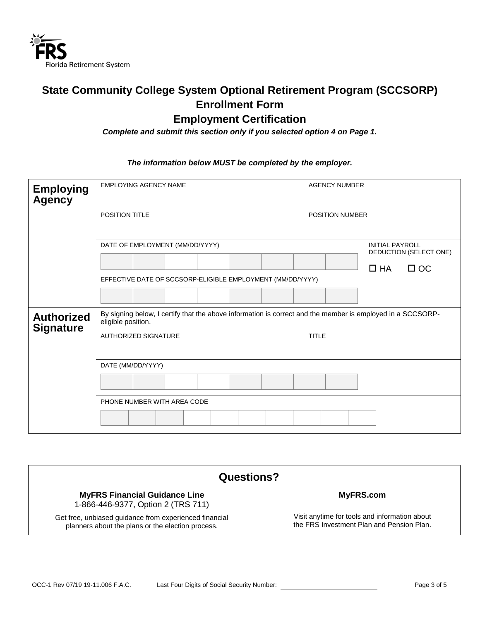

## **State Community College System Optional Retirement Program (SCCSORP) Enrollment Form Employment Certification**

*Complete and submit this section only if you selected option 4 on Page 1.*

#### *The information below MUST be completed by the employer.*

| <b>Employing</b><br><b>Agency</b>     | <b>EMPLOYING AGENCY NAME</b>                               | <b>AGENCY NUMBER</b>                                                                                       |
|---------------------------------------|------------------------------------------------------------|------------------------------------------------------------------------------------------------------------|
|                                       | <b>POSITION TITLE</b>                                      | <b>POSITION NUMBER</b>                                                                                     |
|                                       | DATE OF EMPLOYMENT (MM/DD/YYYY)                            | <b>INITIAL PAYROLL</b><br>DEDUCTION (SELECT ONE)                                                           |
|                                       | EFFECTIVE DATE OF SCCSORP-ELIGIBLE EMPLOYMENT (MM/DD/YYYY) | $\Box$ HA<br>$\Box$ OC                                                                                     |
|                                       |                                                            |                                                                                                            |
| <b>Authorized</b><br><b>Signature</b> | eligible position.                                         | By signing below, I certify that the above information is correct and the member is employed in a SCCSORP- |
|                                       | <b>AUTHORIZED SIGNATURE</b>                                | <b>TITLE</b>                                                                                               |
|                                       | DATE (MM/DD/YYYY)                                          |                                                                                                            |
|                                       |                                                            |                                                                                                            |
|                                       | PHONE NUMBER WITH AREA CODE                                |                                                                                                            |
|                                       |                                                            |                                                                                                            |

| Questions?                                                                                                  |                                                                                            |  |  |  |
|-------------------------------------------------------------------------------------------------------------|--------------------------------------------------------------------------------------------|--|--|--|
| <b>MyFRS Financial Guidance Line</b><br>1-866-446-9377, Option 2 (TRS 711)                                  | MyFRS.com                                                                                  |  |  |  |
| Get free, unbiased guidance from experienced financial<br>planners about the plans or the election process. | Visit anytime for tools and information about<br>the FRS Investment Plan and Pension Plan. |  |  |  |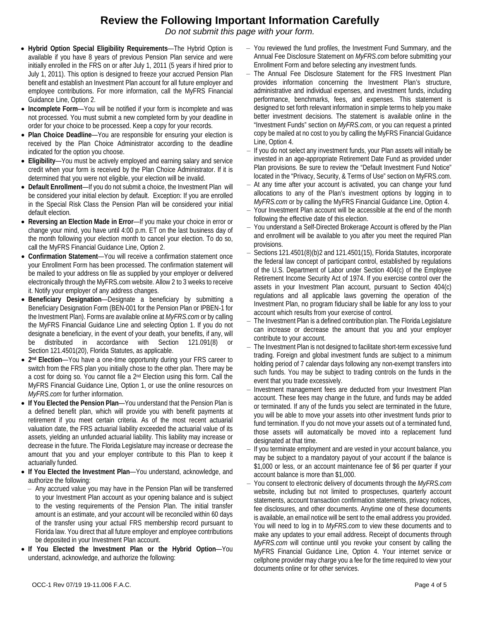### **Review the Following Important Information Carefully**

*Do not submit this page with your form.*

- **Hybrid Option Special Eligibility Requirements**—The Hybrid Option is available if you have 8 years of previous Pension Plan service and were initially enrolled in the FRS on or after July 1, 2011 (5 years if hired prior to July 1, 2011). This option is designed to freeze your accrued Pension Plan benefit and establish an Investment Plan account for all future employer and employee contributions. For more information, call the MyFRS Financial Guidance Line, Option 2.
- **Incomplete Form**—You will be notified if your form is incomplete and was not processed. You must submit a new completed form by your deadline in order for your choice to be processed. Keep a copy for your records.
- **Plan Choice Deadline**—You are responsible for ensuring your election is received by the Plan Choice Administrator according to the deadline indicated for the option you choose.
- **Eligibility**—You must be actively employed and earning salary and service credit when your form is received by the Plan Choice Administrator. If it is determined that you were not eligible, your election will be invalid.
- **Default Enrollment**—If you do not submit a choice, the Investment Plan will be considered your initial election by default. Exception: If you are enrolled in the Special Risk Class the Pension Plan will be considered your initial default election.
- **Reversing an Election Made in Error**—If you make your choice in error or change your mind, you have until 4:00 p.m. ET on the last business day of the month following your election month to cancel your election. To do so, call the MyFRS Financial Guidance Line, Option 2.
- **Confirmation Statement**—You will receive a confirmation statement once your Enrollment Form has been processed. The confirmation statement will be mailed to your address on file as supplied by your employer or delivered electronically through the MyFRS.com website. Allow 2 to 3 weeks to receive it. Notify your employer of any address changes.
- **Beneficiary Designation**—Designate a beneficiary by submitting a Beneficiary Designation Form (BEN-001 for the Pension Plan or IPBEN-1 for the Investment Plan). Forms are available online at *MyFRS.com* or by calling the MyFRS Financial Guidance Line and selecting Option 1. If you do not designate a beneficiary, in the event of your death, your benefits, if any, will be distributed in accordance with Section 121.091(8) or Section 121.4501(20), Florida Statutes, as applicable.
- **2nd Election**—You have a one-time opportunity during your FRS career to switch from the FRS plan you initially chose to the other plan. There may be a cost for doing so. You cannot file a 2nd Election using this form. Call the MyFRS Financial Guidance Line, Option 1, or use the online resources on *MyFRS.com* for further information.
- **If You Elected the Pension Plan**—You understand that the Pension Plan is a defined benefit plan, which will provide you with benefit payments at retirement if you meet certain criteria. As of the most recent actuarial valuation date, the FRS actuarial liability exceeded the actuarial value of its assets, yielding an unfunded actuarial liability. This liability may increase or decrease in the future. The Florida Legislature may increase or decrease the amount that you and your employer contribute to this Plan to keep it actuarially funded.
- **If You Elected the Investment Plan**—You understand, acknowledge, and authorize the following:
	- ‒ Any accrued value you may have in the Pension Plan will be transferred to your Investment Plan account as your opening balance and is subject to the vesting requirements of the Pension Plan. The initial transfer amount is an estimate, and your account will be reconciled within 60 days of the transfer using your actual FRS membership record pursuant to Florida law. You direct that all future employer and employee contributions be deposited in your Investment Plan account.
- **If You Elected the Investment Plan or the Hybrid Option**—You understand, acknowledge, and authorize the following:
- ‒ You reviewed the fund profiles, the Investment Fund Summary, and the Annual Fee Disclosure Statement on *MyFRS.com* before submitting your Enrollment Form and before selecting any investment funds.
- ‒ The Annual Fee Disclosure Statement for the FRS Investment Plan provides information concerning the Investment Plan's structure, administrative and individual expenses, and investment funds, including performance, benchmarks, fees, and expenses. This statement is designed to set forth relevant information in simple terms to help you make better investment decisions. The statement is available online in the "Investment Funds" section on *MyFRS.com*, or you can request a printed copy be mailed at no cost to you by calling the MyFRS Financial Guidance Line, Option 4.
- If you do not select any investment funds, your Plan assets will initially be invested in an age-appropriate Retirement Date Fund as provided under Plan provisions. Be sure to review the "Default Investment Fund Notice" located in the "Privacy, Security, & Terms of Use" section on MyFRS.com.
- ‒ At any time after your account is activated, you can change your fund allocations to any of the Plan's investment options by logging in to *MyFRS.com* or by calling the MyFRS Financial Guidance Line, Option 4.
- ‒ Your Investment Plan account will be accessible at the end of the month following the effective date of this election.
- ‒ You understand a Self-Directed Brokerage Account is offered by the Plan and enrollment will be available to you after you meet the required Plan provisions.
- ‒ Sections 121.4501(8)(b)2 and 121.4501(15), Florida Statutes, incorporate the federal law concept of participant control, established by regulations of the U.S. Department of Labor under Section 404(c) of the Employee Retirement Income Security Act of 1974. If you exercise control over the assets in your Investment Plan account, pursuant to Section 404(c) regulations and all applicable laws governing the operation of the Investment Plan, no program fiduciary shall be liable for any loss to your account which results from your exercise of control.
- ‒ The Investment Plan is a defined contribution plan. The Florida Legislature can increase or decrease the amount that you and your employer contribute to your account.
- ‒ The Investment Plan is not designed to facilitate short-term excessive fund trading. Foreign and global investment funds are subject to a minimum holding period of 7 calendar days following any non-exempt transfers into such funds. You may be subject to trading controls on the funds in the event that you trade excessively.
- $-$  Investment management fees are deducted from your Investment Plan account. These fees may change in the future, and funds may be added or terminated. If any of the funds you select are terminated in the future, you will be able to move your assets into other investment funds prior to fund termination. If you do not move your assets out of a terminated fund, those assets will automatically be moved into a replacement fund designated at that time.
- ‒ If you terminate employment and are vested in your account balance, you may be subject to a mandatory payout of your account if the balance is \$1,000 or less, or an account maintenance fee of \$6 per quarter if your account balance is more than \$1,000.
- ‒ You consent to electronic delivery of documents through the *MyFRS.com* website, including but not limited to prospectuses, quarterly account statements, account transaction confirmation statements, privacy notices, fee disclosures, and other documents. Anytime one of these documents is available, an email notice will be sent to the email address you provided. You will need to log in to *MyFRS.com* to view these documents and to make any updates to your email address. Receipt of documents through *MyFRS.com* will continue until you revoke your consent by calling the MyFRS Financial Guidance Line, Option 4. Your internet service or cellphone provider may charge you a fee for the time required to view your documents online or for other services.